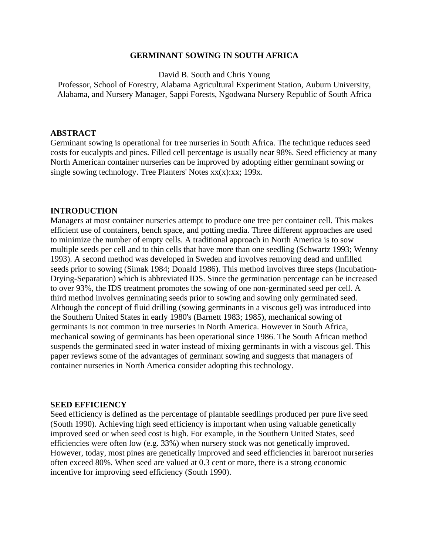### **GERMINANT SOWING IN SOUTH AFRICA**

David B. South and Chris Young

Professor, School of Forestry, Alabama Agricultural Experiment Station, Auburn University, Alabama, and Nursery Manager, Sappi Forests, Ngodwana Nursery Republic of South Africa

#### **ABSTRACT**

Germinant sowing is operational for tree nurseries in South Africa. The technique reduces seed costs for eucalypts and pines. Filled cell percentage is usually near 98%. Seed efficiency at many North American container nurseries can be improved by adopting either germinant sowing or single sowing technology. Tree Planters' Notes  $xx(x):xx$ ; 199 $x$ .

#### **INTRODUCTION**

Managers at most container nurseries attempt to produce one tree per container cell. This makes efficient use of containers, bench space, and potting media. Three different approaches are used to minimize the number of empty cells. A traditional approach in North America is to sow multiple seeds per cell and to thin cells that have more than one seedling (Schwartz 1993; Wenny 1993). A second method was developed in Sweden and involves removing dead and unfilled seeds prior to sowing (Simak 1984; Donald 1986). This method involves three steps (Incubation-Drying-Separation) which is abbreviated IDS. Since the germination percentage can be increased to over 93%, the IDS treatment promotes the sowing of one non-germinated seed per cell. A third method involves germinating seeds prior to sowing and sowing only germinated seed. Although the concept of fluid drilling (sowing germinants in a viscous gel) was introduced into the Southern United States in early 1980's (Barnett 1983; 1985), mechanical sowing of germinants is not common in tree nurseries in North America. However in South Africa, mechanical sowing of germinants has been operational since 1986. The South African method suspends the germinated seed in water instead of mixing germinants in with a viscous gel. This paper reviews some of the advantages of germinant sowing and suggests that managers of container nurseries in North America consider adopting this technology.

#### **SEED EFFICIENCY**

Seed efficiency is defined as the percentage of plantable seedlings produced per pure live seed (South 1990). Achieving high seed efficiency is important when using valuable genetically improved seed or when seed cost is high. For example, in the Southern United States, seed efficiencies were often low (e.g. 33%) when nursery stock was not genetically improved. However, today, most pines are genetically improved and seed efficiencies in bareroot nurseries often exceed 80%. When seed are valued at 0.3 cent or more, there is a strong economic incentive for improving seed efficiency (South 1990).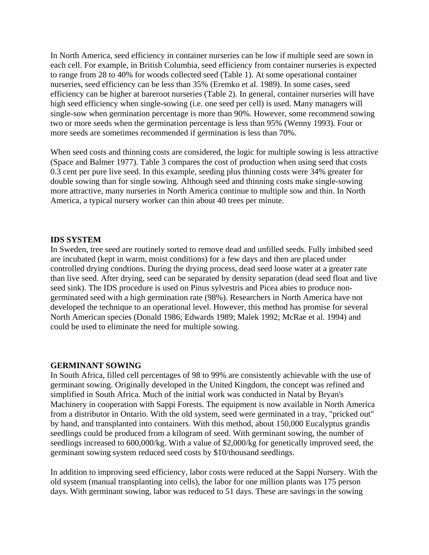In North America, seed efficiency in container nurseries can be low if multiple seed are sown in each cell. For example, in British Columbia, seed efficiency from container nurseries is expected to range from 28 to 40% for woods collected seed (Table 1). At some operational container nurseries, seed efficiency can be less than 35% (Eremko et al. 1989). In some cases, seed efficiency can be higher at bareroot nurseries (Table 2). In general, container nurseries will have high seed efficiency when single-sowing (i.e. one seed per cell) is used. Many managers will single-sow when germination percentage is more than 90%. However, some recommend sowing two or more seeds when the germination percentage is less than 95% (Wenny 1993). Four or more seeds are sometimes recommended if germination is less than 70%.

When seed costs and thinning costs are considered, the logic for multiple sowing is less attractive (Space and Balmer 1977). Table 3 compares the cost of production when using seed that costs 0.3 cent per pure live seed. In this example, seeding plus thinning costs were 34% greater for double sowing than for single sowing. Although seed and thinning costs make single-sowing more attractive, many nurseries in North America continue to multiple sow and thin. In North America, a typical nursery worker can thin about 40 trees per minute.

### **IDS SYSTEM**

In Sweden, tree seed are routinely sorted to remove dead and unfilled seeds. Fully imbibed seed are incubated (kept in warm, moist conditions) for a few days and then are placed under controlled drying condtions. During the drying process, dead seed loose water at a greater rate than live seed. After drying, seed can be separated by density separation (dead seed float and live seed sink). The IDS procedure is used on Pinus sylvestris and Picea abies to produce nongerminated seed with a high germination rate (98%). Researchers in North America have not developed the technique to an operational level. However, this method has promise for several North American species (Donald 1986; Edwards 1989; Malek 1992; McRae et al. 1994) and could be used to eliminate the need for multiple sowing.

### **GERMINANT SOWING**

In South Africa, filled cell percentages of 98 to 99% are consistently achievable with the use of germinant sowing. Originally developed in the United Kingdom, the concept was refined and simplified in South Africa. Much of the initial work was conducted in Natal by Bryan's Machinery in cooperation with Sappi Forests. The equipment is now available in North America from a distributor in Ontario. With the old system, seed were germinated in a tray, "pricked out" by hand, and transplanted into containers. With this method, about 150,000 Eucalyptus grandis seedlings could be produced from a kilogram of seed. With germinant sowing, the number of seedlings increased to 600,000/kg. With a value of \$2,000/kg for genetically improved seed, the germinant sowing system reduced seed costs by \$10/thousand seedlings.

In addition to improving seed efficiency, labor costs were reduced at the Sappi Nursery. With the old system (manual transplanting into cells), the labor for one million plants was 175 person days. With germinant sowing, labor was reduced to 51 days. These are savings in the sowing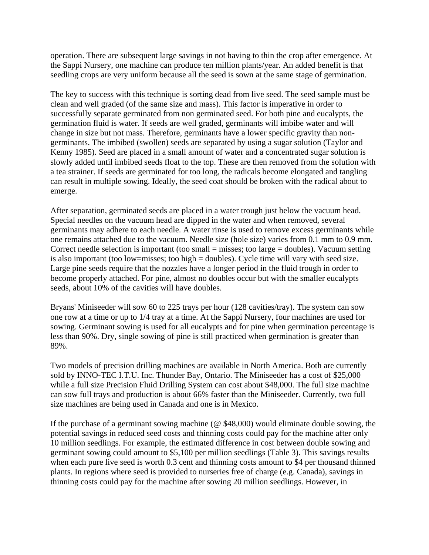operation. There are subsequent large savings in not having to thin the crop after emergence. At the Sappi Nursery, one machine can produce ten million plants/year. An added benefit is that seedling crops are very uniform because all the seed is sown at the same stage of germination.

The key to success with this technique is sorting dead from live seed. The seed sample must be clean and well graded (of the same size and mass). This factor is imperative in order to successfully separate germinated from non germinated seed. For both pine and eucalypts, the germination fluid is water. If seeds are well graded, germinants will imbibe water and will change in size but not mass. Therefore, germinants have a lower specific gravity than nongerminants. The imbibed (swollen) seeds are separated by using a sugar solution (Taylor and Kenny 1985). Seed are placed in a small amount of water and a concentrated sugar solution is slowly added until imbibed seeds float to the top. These are then removed from the solution with a tea strainer. If seeds are germinated for too long, the radicals become elongated and tangling can result in multiple sowing. Ideally, the seed coat should be broken with the radical about to emerge.

After separation, germinated seeds are placed in a water trough just below the vacuum head. Special needles on the vacuum head are dipped in the water and when removed, several germinants may adhere to each needle. A water rinse is used to remove excess germinants while one remains attached due to the vacuum. Needle size (hole size) varies from 0.1 mm to 0.9 mm. Correct needle selection is important (too small = misses; too large = doubles). Vacuum setting is also important (too low=misses; too high = doubles). Cycle time will vary with seed size. Large pine seeds require that the nozzles have a longer period in the fluid trough in order to become properly attached. For pine, almost no doubles occur but with the smaller eucalypts seeds, about 10% of the cavities will have doubles.

Bryans' Miniseeder will sow 60 to 225 trays per hour (128 cavities/tray). The system can sow one row at a time or up to 1/4 tray at a time. At the Sappi Nursery, four machines are used for sowing. Germinant sowing is used for all eucalypts and for pine when germination percentage is less than 90%. Dry, single sowing of pine is still practiced when germination is greater than 89%.

Two models of precision drilling machines are available in North America. Both are currently sold by INNO-TEC I.T.U. Inc. Thunder Bay, Ontario. The Miniseeder has a cost of \$25,000 while a full size Precision Fluid Drilling System can cost about \$48,000. The full size machine can sow full trays and production is about 66% faster than the Miniseeder. Currently, two full size machines are being used in Canada and one is in Mexico.

If the purchase of a germinant sowing machine (@ \$48,000) would eliminate double sowing, the potential savings in reduced seed costs and thinning costs could pay for the machine after only 10 million seedlings. For example, the estimated difference in cost between double sowing and germinant sowing could amount to \$5,100 per million seedlings (Table 3). This savings results when each pure live seed is worth 0.3 cent and thinning costs amount to \$4 per thousand thinned plants. In regions where seed is provided to nurseries free of charge (e.g. Canada), savings in thinning costs could pay for the machine after sowing 20 million seedlings. However, in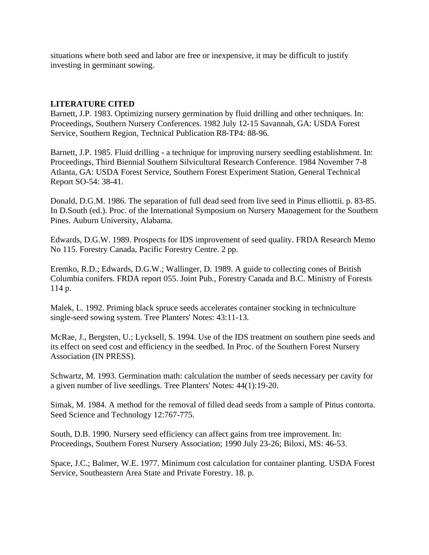situations where both seed and labor are free or inexpensive, it may be difficult to justify investing in germinant sowing.

## **LITERATURE CITED**

Barnett, J.P. 1983. Optimizing nursery germination by fluid drilling and other techniques. In: Proceedings, Southern Nursery Conferences. 1982 July 12-15 Savannah, GA: USDA Forest Service, Southern Region, Technical Publication R8-TP4: 88-96.

Barnett, J.P. 1985. Fluid drilling - a technique for improving nursery seedling establishment. In: Proceedings, Third Biennial Southern Silvicultural Research Conference. 1984 November 7-8 Atlanta, GA: USDA Forest Service, Southern Forest Experiment Station, General Technical Report SO-54: 38-41.

Donald, D.G.M. 1986. The separation of full dead seed from live seed in Pinus elliottii. p. 83-85. In D.South (ed.). Proc. of the International Symposium on Nursery Management for the Southern Pines. Auburn University, Alabama.

Edwards, D.G.W. 1989. Prospects for IDS improvement of seed quality. FRDA Research Memo No 115. Forestry Canada, Pacific Forestry Centre. 2 pp.

Eremko, R.D.; Edwards, D.G.W.; Wallinger, D. 1989. A guide to collecting cones of British Columbia conifers. FRDA report 055. Joint Pub., Forestry Canada and B.C. Ministry of Forests 114 p.

Malek, L. 1992. Priming black spruce seeds accelerates container stocking in techniculture single-seed sowing system. Tree Planters' Notes: 43:11-13.

McRae, J., Bergsten, U.; Lycksell, S. 1994. Use of the IDS treatment on southern pine seeds and its effect on seed cost and efficiency in the seedbed. In Proc. of the Southern Forest Nursery Association (IN PRESS).

Schwartz, M. 1993. Germination math: calculation the number of seeds necessary per cavity for a given number of live seedlings. Tree Planters' Notes: 44(1):19-20.

Simak, M. 1984. A method for the removal of filled dead seeds from a sample of Pinus contorta. Seed Science and Technology 12:767-775.

South, D.B. 1990. Nursery seed efficiency can affect gains from tree improvement. In: Proceedings, Southern Forest Nursery Association; 1990 July 23-26; Biloxi, MS: 46-53.

Space, J.C.; Balmer, W.E. 1977. Minimum cost calculation for container planting. USDA Forest Service, Southeastern Area State and Private Forestry. 18. p.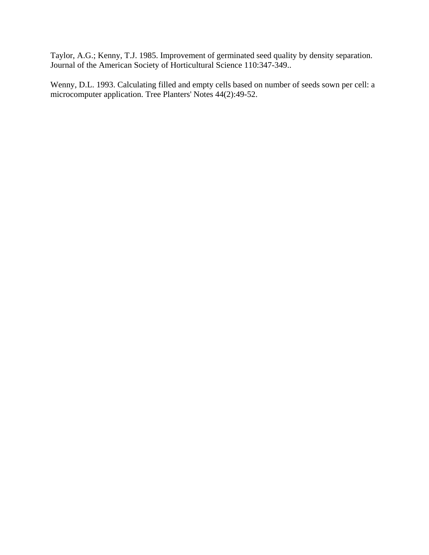Taylor, A.G.; Kenny, T.J. 1985. Improvement of germinated seed quality by density separation. Journal of the American Society of Horticultural Science 110:347-349..

Wenny, D.L. 1993. Calculating filled and empty cells based on number of seeds sown per cell: a microcomputer application. Tree Planters' Notes 44(2):49-52.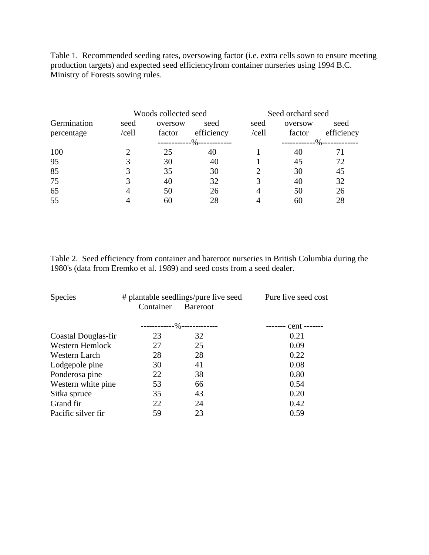Table 1. Recommended seeding rates, oversowing factor (i.e. extra cells sown to ensure meeting production targets) and expected seed efficiencyfrom container nurseries using 1994 B.C. Ministry of Forests sowing rules.

|                           | Woods collected seed |                   |                           | Seed orchard seed |                   |                    |
|---------------------------|----------------------|-------------------|---------------------------|-------------------|-------------------|--------------------|
| Germination<br>percentage | seed<br>/cell        | oversow<br>factor | seed<br>efficiency        | seed<br>/cell     | oversow<br>factor | seed<br>efficiency |
|                           |                      |                   | ------------%------------ |                   | -------------%-   |                    |
| 100                       |                      | 25                | 40                        |                   | 40                | 71                 |
| 95                        |                      | 30                | 40                        |                   | 45                | 72                 |
| 85                        |                      | 35                | 30                        |                   | 30                | 45                 |
| 75                        |                      | 40                | 32                        |                   | 40                | 32                 |
| 65                        |                      | 50                | 26                        |                   | 50                | 26                 |
| 55                        |                      | 60                | 28                        |                   | 60                | 28                 |

Table 2. Seed efficiency from container and bareroot nurseries in British Columbia during the 1980's (data from Eremko et al. 1989) and seed costs from a seed dealer.

| <b>Species</b>      | # plantable seedlings/pure live seed<br>Container | Pure live seed cost           |      |
|---------------------|---------------------------------------------------|-------------------------------|------|
|                     |                                                   | --------------%-------------- |      |
| Coastal Douglas-fir | 23                                                | 32                            | 0.21 |
| Western Hemlock     | 27                                                | 25                            | 0.09 |
| Western Larch       | 28                                                | 28                            | 0.22 |
| Lodgepole pine      | 30                                                | 41                            | 0.08 |
| Ponderosa pine      | 22                                                | 38                            | 0.80 |
| Western white pine  | 53                                                | 66                            | 0.54 |
| Sitka spruce        | 35                                                | 43                            | 0.20 |
| Grand fir           | 22                                                | 24                            | 0.42 |
| Pacific silver fir  | 59                                                | 23                            | 0.59 |